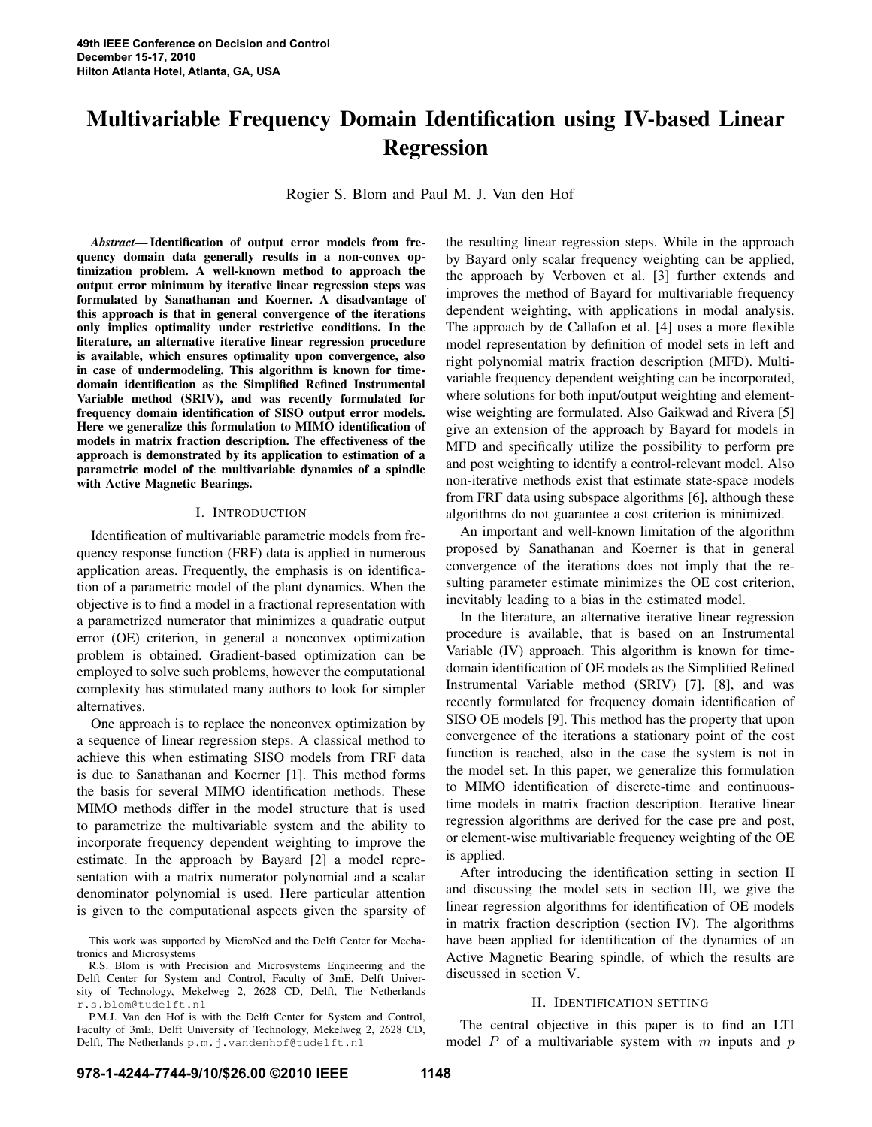# Multivariable Frequency Domain Identification using IV-based Linear Regression

Rogier S. Blom and Paul M. J. Van den Hof

*Abstract*— Identification of output error models from frequency domain data generally results in a non-convex optimization problem. A well-known method to approach the output error minimum by iterative linear regression steps was formulated by Sanathanan and Koerner. A disadvantage of this approach is that in general convergence of the iterations only implies optimality under restrictive conditions. In the literature, an alternative iterative linear regression procedure is available, which ensures optimality upon convergence, also in case of undermodeling. This algorithm is known for timedomain identification as the Simplified Refined Instrumental Variable method (SRIV), and was recently formulated for frequency domain identification of SISO output error models. Here we generalize this formulation to MIMO identification of models in matrix fraction description. The effectiveness of the approach is demonstrated by its application to estimation of a parametric model of the multivariable dynamics of a spindle with Active Magnetic Bearings.

## I. INTRODUCTION

Identification of multivariable parametric models from frequency response function (FRF) data is applied in numerous application areas. Frequently, the emphasis is on identification of a parametric model of the plant dynamics. When the objective is to find a model in a fractional representation with a parametrized numerator that minimizes a quadratic output error (OE) criterion, in general a nonconvex optimization problem is obtained. Gradient-based optimization can be employed to solve such problems, however the computational complexity has stimulated many authors to look for simpler alternatives.

One approach is to replace the nonconvex optimization by a sequence of linear regression steps. A classical method to achieve this when estimating SISO models from FRF data is due to Sanathanan and Koerner [1]. This method forms the basis for several MIMO identification methods. These MIMO methods differ in the model structure that is used to parametrize the multivariable system and the ability to incorporate frequency dependent weighting to improve the estimate. In the approach by Bayard [2] a model representation with a matrix numerator polynomial and a scalar denominator polynomial is used. Here particular attention is given to the computational aspects given the sparsity of the resulting linear regression steps. While in the approach by Bayard only scalar frequency weighting can be applied, the approach by Verboven et al. [3] further extends and improves the method of Bayard for multivariable frequency dependent weighting, with applications in modal analysis. The approach by de Callafon et al. [4] uses a more flexible model representation by definition of model sets in left and right polynomial matrix fraction description (MFD). Multivariable frequency dependent weighting can be incorporated, where solutions for both input/output weighting and elementwise weighting are formulated. Also Gaikwad and Rivera [5] give an extension of the approach by Bayard for models in MFD and specifically utilize the possibility to perform pre and post weighting to identify a control-relevant model. Also non-iterative methods exist that estimate state-space models from FRF data using subspace algorithms [6], although these algorithms do not guarantee a cost criterion is minimized.

An important and well-known limitation of the algorithm proposed by Sanathanan and Koerner is that in general convergence of the iterations does not imply that the resulting parameter estimate minimizes the OE cost criterion, inevitably leading to a bias in the estimated model.

In the literature, an alternative iterative linear regression procedure is available, that is based on an Instrumental Variable (IV) approach. This algorithm is known for timedomain identification of OE models as the Simplified Refined Instrumental Variable method (SRIV) [7], [8], and was recently formulated for frequency domain identification of SISO OE models [9]. This method has the property that upon convergence of the iterations a stationary point of the cost function is reached, also in the case the system is not in the model set. In this paper, we generalize this formulation to MIMO identification of discrete-time and continuoustime models in matrix fraction description. Iterative linear regression algorithms are derived for the case pre and post, or element-wise multivariable frequency weighting of the OE is applied.

After introducing the identification setting in section II and discussing the model sets in section III, we give the linear regression algorithms for identification of OE models in matrix fraction description (section IV). The algorithms have been applied for identification of the dynamics of an Active Magnetic Bearing spindle, of which the results are discussed in section V.

## II. IDENTIFICATION SETTING

The central objective in this paper is to find an LTI model  $P$  of a multivariable system with  $m$  inputs and  $p$ 

This work was supported by MicroNed and the Delft Center for Mechatronics and Microsystems

R.S. Blom is with Precision and Microsystems Engineering and the Delft Center for System and Control, Faculty of 3mE, Delft University of Technology, Mekelweg 2, 2628 CD, Delft, The Netherlands r.s.blom@tudelft.nl

P.M.J. Van den Hof is with the Delft Center for System and Control, Faculty of 3mE, Delft University of Technology, Mekelweg 2, 2628 CD, Delft, The Netherlands p.m.j.vandenhof@tudelft.nl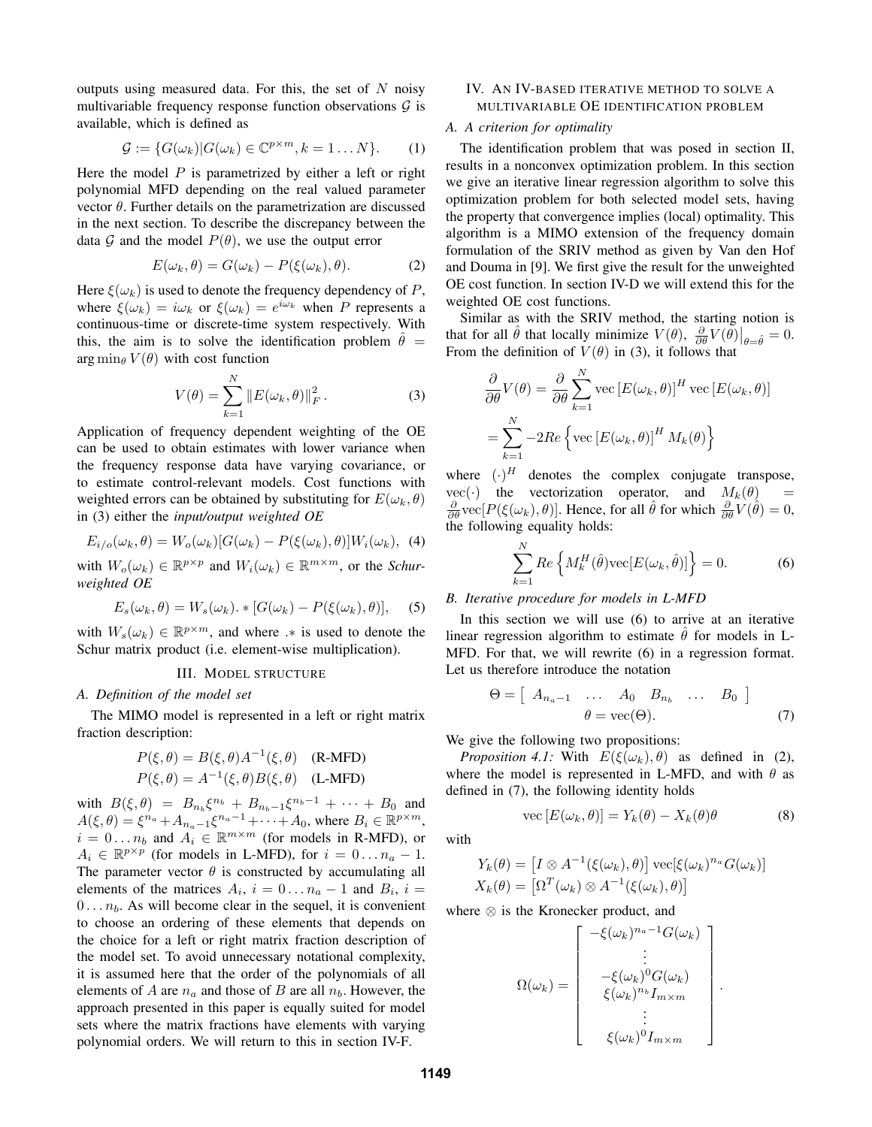outputs using measured data. For this, the set of  $N$  noisy multivariable frequency response function observations  $G$  is available, which is defined as

$$
\mathcal{G} := \{ G(\omega_k) | G(\omega_k) \in \mathbb{C}^{p \times m}, k = 1 \dots N \}.
$$
 (1)

Here the model  $P$  is parametrized by either a left or right polynomial MFD depending on the real valued parameter vector  $\theta$ . Further details on the parametrization are discussed in the next section. To describe the discrepancy between the data G and the model  $P(\theta)$ , we use the output error

$$
E(\omega_k, \theta) = G(\omega_k) - P(\xi(\omega_k), \theta). \tag{2}
$$

Here  $\xi(\omega_k)$  is used to denote the frequency dependency of P, where  $\xi(\omega_k) = i\omega_k$  or  $\xi(\omega_k) = e^{i\omega_k}$  when P represents a continuous-time or discrete-time system respectively. With this, the aim is to solve the identification problem  $\theta =$  $\arg \min_{\theta} V(\theta)$  with cost function

$$
V(\theta) = \sum_{k=1}^{N} ||E(\omega_k, \theta)||_F^2.
$$
 (3)

Application of frequency dependent weighting of the OE can be used to obtain estimates with lower variance when the frequency response data have varying covariance, or to estimate control-relevant models. Cost functions with weighted errors can be obtained by substituting for  $E(\omega_k, \theta)$ in (3) either the *input/output weighted OE*

$$
E_{i/o}(\omega_k, \theta) = W_o(\omega_k)[G(\omega_k) - P(\xi(\omega_k), \theta)]W_i(\omega_k), \tag{4}
$$

with  $W_o(\omega_k) \in \mathbb{R}^{p \times p}$  and  $W_i(\omega_k) \in \mathbb{R}^{m \times m}$ , or the *Schurweighted OE*

$$
E_s(\omega_k, \theta) = W_s(\omega_k) \cdot \{[G(\omega_k) - P(\xi(\omega_k), \theta)], \quad (5)
$$

with  $W_s(\omega_k) \in \mathbb{R}^{p \times m}$ , and where  $\cdot *$  is used to denote the Schur matrix product (i.e. element-wise multiplication).

# III. MODEL STRUCTURE

## *A. Definition of the model set*

The MIMO model is represented in a left or right matrix fraction description:

$$
P(\xi, \theta) = B(\xi, \theta)A^{-1}(\xi, \theta)
$$
 (R-MFD)  

$$
P(\xi, \theta) = A^{-1}(\xi, \theta)B(\xi, \theta)
$$
 (L-MFD)

with  $B(\xi, \theta) = B_{n_b} \xi^{n_b} + B_{n_b-1} \xi^{n_b-1} + \cdots + B_0$  and  $A(\xi,\theta) = \xi^{n_a} + A_{n_a-1}\xi^{n_a-1} + \cdots + A_0$ , where  $B_i \in \mathbb{R}^{p \times m}$ ,  $i = 0 \dots n_b$  and  $A_i \in \mathbb{R}^{m \times m}$  (for models in R-MFD), or  $A_i \in \mathbb{R}^{p \times p}$  (for models in L-MFD), for  $i = 0...n_a - 1$ . The parameter vector  $\theta$  is constructed by accumulating all elements of the matrices  $A_i$ ,  $i = 0...n_a - 1$  and  $B_i$ ,  $i =$  $0 \ldots n_b$ . As will become clear in the sequel, it is convenient to choose an ordering of these elements that depends on the choice for a left or right matrix fraction description of the model set. To avoid unnecessary notational complexity, it is assumed here that the order of the polynomials of all elements of A are  $n_a$  and those of B are all  $n_b$ . However, the approach presented in this paper is equally suited for model sets where the matrix fractions have elements with varying polynomial orders. We will return to this in section IV-F.

# IV. AN IV-BASED ITERATIVE METHOD TO SOLVE A MULTIVARIABLE OE IDENTIFICATION PROBLEM

# *A. A criterion for optimality*

The identification problem that was posed in section II, results in a nonconvex optimization problem. In this section we give an iterative linear regression algorithm to solve this optimization problem for both selected model sets, having the property that convergence implies (local) optimality. This algorithm is a MIMO extension of the frequency domain formulation of the SRIV method as given by Van den Hof and Douma in [9]. We first give the result for the unweighted OE cost function. In section IV-D we will extend this for the weighted OE cost functions.

Similar as with the SRIV method, the starting notion is that for all  $\hat{\theta}$  that locally minimize  $V(\theta)$ ,  $\frac{\partial}{\partial \theta}V(\theta)|_{\theta=\hat{\theta}}=0$ . From the definition of  $V(\theta)$  in (3), it follows that

$$
\frac{\partial}{\partial \theta} V(\theta) = \frac{\partial}{\partial \theta} \sum_{k=1}^{N} \text{vec} \left[ E(\omega_k, \theta) \right]^H \text{vec} \left[ E(\omega_k, \theta) \right]
$$

$$
= \sum_{k=1}^{N} -2Re \left\{ \text{vec} \left[ E(\omega_k, \theta) \right]^H M_k(\theta) \right\}
$$

where  $(\cdot)^H$  denotes the complex conjugate transpose,  $vec(\cdot)$  the vectorization operator, and  $M_k(\theta)$  =  $\frac{\partial}{\partial \theta}$  vec[ $P(\xi(\omega_k), \theta)$ ]. Hence, for all  $\hat{\theta}$  for which  $\frac{\partial}{\partial \theta}V(\hat{\theta}) = 0$ , the following equality holds:

$$
\sum_{k=1}^{N} Re\left\{ M_k^H(\hat{\theta}) \text{vec}[E(\omega_k, \hat{\theta})] \right\} = 0.
$$
 (6)

## *B. Iterative procedure for models in L-MFD*

In this section we will use (6) to arrive at an iterative linear regression algorithm to estimate  $\hat{\theta}$  for models in L-MFD. For that, we will rewrite (6) in a regression format. Let us therefore introduce the notation

$$
\Theta = \left[ \begin{array}{cccc} A_{n_a-1} & \dots & A_0 & B_{n_b} & \dots & B_0 \end{array} \right] \qquad (7)
$$

We give the following two propositions:

*Proposition 4.1:* With  $E(\xi(\omega_k), \theta)$  as defined in (2), where the model is represented in L-MFD, and with  $\theta$  as defined in (7), the following identity holds

$$
\text{vec}\left[E(\omega_k,\theta)\right] = Y_k(\theta) - X_k(\theta)\theta\tag{8}
$$

.

with

$$
Y_k(\theta) = [I \otimes A^{-1}(\xi(\omega_k), \theta)] \operatorname{vec}[\xi(\omega_k)^{n_a} G(\omega_k)]
$$
  

$$
X_k(\theta) = [\Omega^T(\omega_k) \otimes A^{-1}(\xi(\omega_k), \theta)]
$$

where ⊗ is the Kronecker product, and

$$
\Omega(\omega_k) = \begin{bmatrix}\n-\xi(\omega_k)^{n_a - 1} G(\omega_k) \\
\vdots \\
-\xi(\omega_k)^0 G(\omega_k) \\
\xi(\omega_k)^{n_b} I_{m \times m} \\
\vdots \\
\xi(\omega_k)^0 I_{m \times m}\n\end{bmatrix}
$$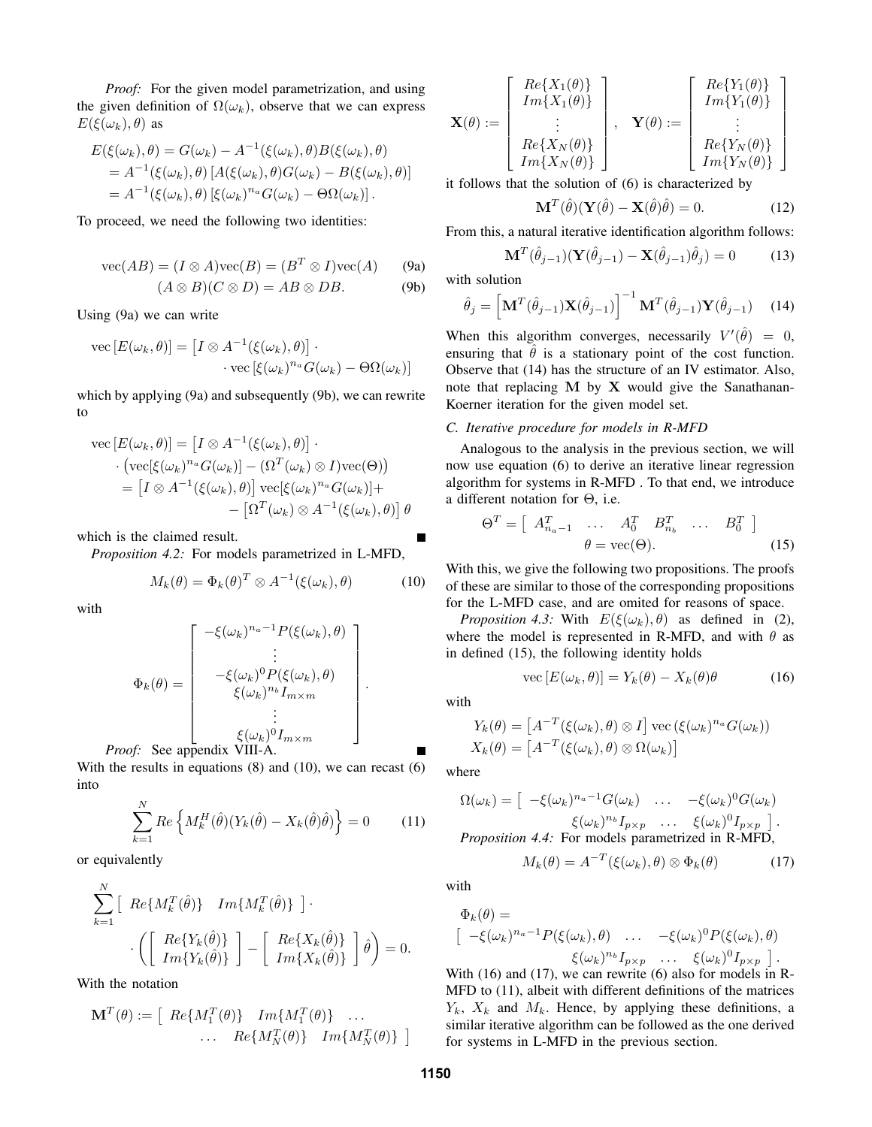*Proof:* For the given model parametrization, and using the given definition of  $\Omega(\omega_k)$ , observe that we can express  $E(\xi(\omega_k), \theta)$  as

$$
E(\xi(\omega_k), \theta) = G(\omega_k) - A^{-1}(\xi(\omega_k), \theta)B(\xi(\omega_k), \theta)
$$
  
=  $A^{-1}(\xi(\omega_k), \theta) [A(\xi(\omega_k), \theta)G(\omega_k) - B(\xi(\omega_k), \theta)]$   
=  $A^{-1}(\xi(\omega_k), \theta) [\xi(\omega_k)^{n_a}G(\omega_k) - \Theta\Omega(\omega_k)].$ 

To proceed, we need the following two identities:

$$
\text{vec}(AB) = (I \otimes A)\text{vec}(B) = (B^T \otimes I)\text{vec}(A) \qquad \text{(9a)}
$$

$$
(A \otimes B)(C \otimes D) = AB \otimes DB. \tag{9b}
$$

Using (9a) we can write

vec 
$$
[E(\omega_k, \theta)] = [I \otimes A^{-1}(\xi(\omega_k), \theta)] \cdot
$$
  
vec  $[\xi(\omega_k)^{n_a} G(\omega_k) - \Theta \Omega(\omega_k)]$ 

which by applying (9a) and subsequently (9b), we can rewrite to

vec 
$$
[E(\omega_k, \theta)] = [I \otimes A^{-1}(\xi(\omega_k), \theta)] \cdot
$$
  
\n
$$
\cdot (\text{vec}[\xi(\omega_k)^{n_a} G(\omega_k)] - (\Omega^T(\omega_k) \otimes I) \text{vec}(\Theta))
$$
\n
$$
= [I \otimes A^{-1}(\xi(\omega_k), \theta)] \text{vec}[\xi(\omega_k)^{n_a} G(\omega_k)] +
$$
\n
$$
- [\Omega^T(\omega_k) \otimes A^{-1}(\xi(\omega_k), \theta)] \theta
$$

which is the claimed result.

*Proposition 4.2:* For models parametrized in L-MFD,

$$
M_k(\theta) = \Phi_k(\theta)^T \otimes A^{-1}(\xi(\omega_k), \theta)
$$
 (10)

with

$$
\Phi_k(\theta) = \begin{bmatrix}\n-\xi(\omega_k)^{n_a - 1} P(\xi(\omega_k), \theta) \\
\vdots \\
-\xi(\omega_k)^0 P(\xi(\omega_k), \theta) \\
\xi(\omega_k)^{n_b} I_{m \times m} \\
\vdots \\
\xi(\omega_k)^0 I_{m \times m}\n\end{bmatrix}.
$$
\nProof: See appendix VIII-A.

With the results in equations (8) and (10), we can recast (6) into

$$
\sum_{k=1}^{N} Re\left\{ M_k^H(\hat{\theta})(Y_k(\hat{\theta}) - X_k(\hat{\theta})\hat{\theta}) \right\} = 0 \quad (11)
$$

or equivalently

$$
\sum_{k=1}^{N} \left[ Re\{M_k^T(\hat{\theta})\} \right] Im\{M_k^T(\hat{\theta})\} \right] \cdot \left( \left[ Re\{Y_k(\hat{\theta})\} \right] - \left[ Re\{X_k(\hat{\theta})\} \right] \hat{\theta} \right) = 0.
$$

With the notation

$$
\mathbf{M}^T(\theta) := \begin{bmatrix} Re\{M_1^T(\theta)\} & Im\{M_1^T(\theta)\} & \dots \\ \dots & Re\{M_N^T(\theta)\} & Im\{M_N^T(\theta)\} \end{bmatrix}
$$

$$
\mathbf{X}(\theta) := \left[\begin{array}{c} Re\{X_1(\theta)\} \\ Im\{X_1(\theta)\} \\ \vdots \\ Re\{X_N(\theta)\} \\ Im\{X_N(\theta)\}\end{array}\right], \quad \mathbf{Y}(\theta) := \left[\begin{array}{c} Re\{Y_1(\theta)\} \\ Im\{Y_1(\theta)\} \\ \vdots \\ Re\{Y_N(\theta)\}\end{array}\right]
$$

it follows that the solution of (6) is characterized by

$$
\mathbf{M}^{T}(\hat{\theta})(\mathbf{Y}(\hat{\theta}) - \mathbf{X}(\hat{\theta})\hat{\theta}) = 0.
$$
 (12)

From this, a natural iterative identification algorithm follows:

$$
\mathbf{I}^{T}(\hat{\theta}_{j-1})(\mathbf{Y}(\hat{\theta}_{j-1}) - \mathbf{X}(\hat{\theta}_{j-1})\hat{\theta}_{j}) = 0 \quad (13)
$$

with solution

 $\mathbf{N}$ 

$$
\hat{\theta}_j = \left[\mathbf{M}^T(\hat{\theta}_{j-1})\mathbf{X}(\hat{\theta}_{j-1})\right]^{-1}\mathbf{M}^T(\hat{\theta}_{j-1})\mathbf{Y}(\hat{\theta}_{j-1})
$$
 (14)

When this algorithm converges, necessarily  $V'(\hat{\theta}) = 0$ , ensuring that  $\hat{\theta}$  is a stationary point of the cost function. Observe that (14) has the structure of an IV estimator. Also, note that replacing  $M$  by  $X$  would give the Sanathanan-Koerner iteration for the given model set.

### *C. Iterative procedure for models in R-MFD*

Analogous to the analysis in the previous section, we will now use equation (6) to derive an iterative linear regression algorithm for systems in R-MFD . To that end, we introduce a different notation for Θ, i.e.

$$
\Theta^T = \left[ \begin{array}{cccc} A_{n_a-1}^T & \dots & A_0^T & B_{n_b}^T & \dots & B_0^T \end{array} \right] \n\theta = \text{vec}(\Theta).
$$
\n(15)

With this, we give the following two propositions. The proofs of these are similar to those of the corresponding propositions for the L-MFD case, and are omited for reasons of space.

*Proposition 4.3:* With  $E(\xi(\omega_k), \theta)$  as defined in (2), where the model is represented in R-MFD, and with  $\theta$  as in defined (15), the following identity holds

$$
\text{vec}\left[E(\omega_k,\theta)\right] = Y_k(\theta) - X_k(\theta)\theta \tag{16}
$$

with

$$
Y_k(\theta) = [A^{-T}(\xi(\omega_k), \theta) \otimes I] \operatorname{vec}(\xi(\omega_k)^{n_a} G(\omega_k))
$$
  

$$
X_k(\theta) = [A^{-T}(\xi(\omega_k), \theta) \otimes \Omega(\omega_k)]
$$

where

$$
\Omega(\omega_k) = \left[ \begin{array}{ccc} -\xi(\omega_k)^{n_a-1} G(\omega_k) & \dots & -\xi(\omega_k)^0 G(\omega_k) \\ \xi(\omega_k)^{n_b} I_{p \times p} & \dots & \xi(\omega_k)^0 I_{p \times p} \end{array} \right].
$$
  
Proposition 4.4: For models parametrized in R-MFD,

$$
M_k(\theta) = A^{-T}(\xi(\omega_k), \theta) \otimes \Phi_k(\theta)
$$
 (17)

with

$$
\Phi_k(\theta) = \left[ -\xi(\omega_k)^{n_a - 1} P(\xi(\omega_k), \theta) \right] \dots \left[ -\xi(\omega_k)^0 P(\xi(\omega_k), \theta) \right] \leq (\omega_k)^{n_b} I_{p \times p} \dots \left[ \xi(\omega_k)^0 I_{p \times p} \right].
$$

With (16) and (17), we can rewrite (6) also for models in R-MFD to (11), albeit with different definitions of the matrices  $Y_k$ ,  $X_k$  and  $M_k$ . Hence, by applying these definitions, a similar iterative algorithm can be followed as the one derived for systems in L-MFD in the previous section.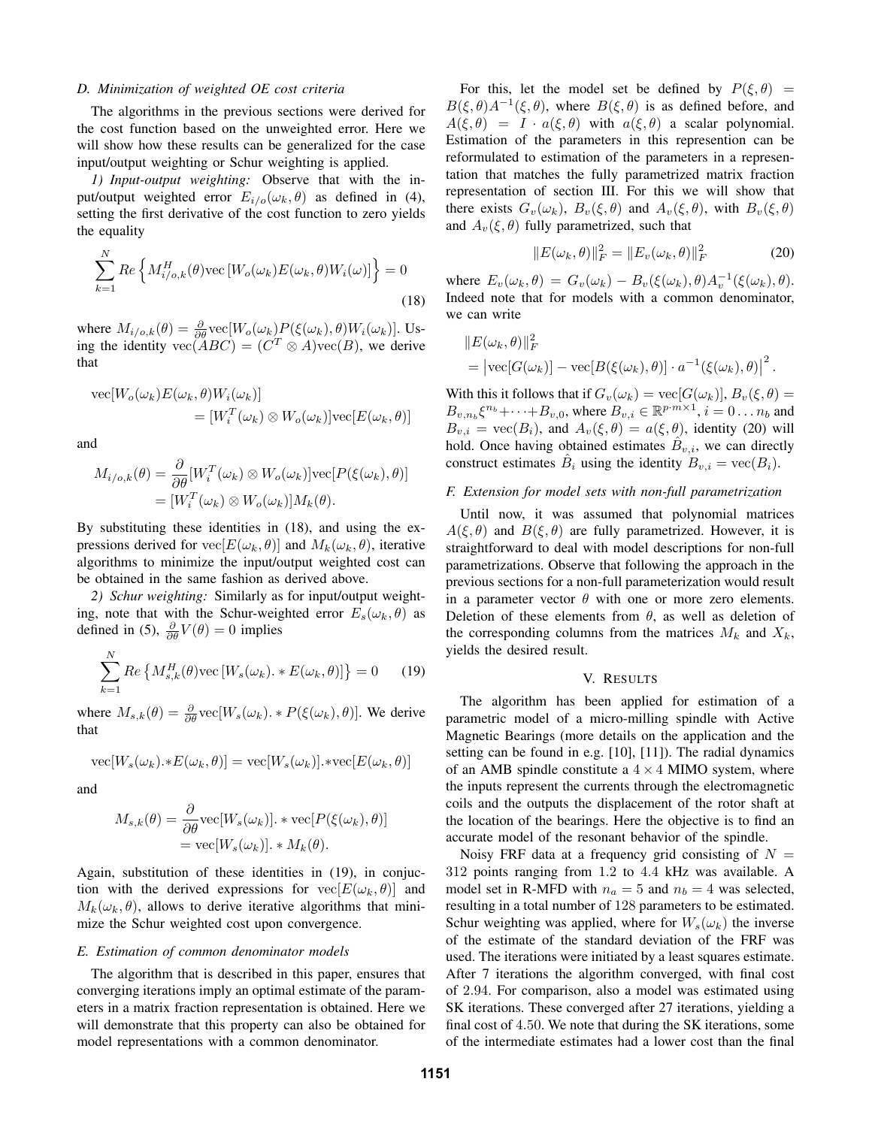#### *D. Minimization of weighted OE cost criteria*

The algorithms in the previous sections were derived for the cost function based on the unweighted error. Here we will show how these results can be generalized for the case input/output weighting or Schur weighting is applied.

*1) Input-output weighting:* Observe that with the input/output weighted error  $E_{i/o}(\omega_k, \theta)$  as defined in (4), setting the first derivative of the cost function to zero yields the equality

$$
\sum_{k=1}^{N} Re\left\{ M_{i/o,k}^{H}(\theta) \text{vec}\left[W_o(\omega_k) E(\omega_k, \theta) W_i(\omega)\right]\right\} = 0
$$
\n(18)

where  $M_{i/o,k}(\theta) = \frac{\partial}{\partial \theta} \text{vec}[W_o(\omega_k)P(\xi(\omega_k), \theta)W_i(\omega_k)]$ . Using the identity  $\text{vec}(ABC) = (C^T \otimes A)\text{vec}(B)$ , we derive that

vec
$$
[W_o(\omega_k)E(\omega_k, \theta)W_i(\omega_k)]
$$
  
=  $[W_i^T(\omega_k) \otimes W_o(\omega_k)]\text{vec}[E(\omega_k, \theta)]$ 

and

$$
M_{i/o,k}(\theta) = \frac{\partial}{\partial \theta} [W_i^T(\omega_k) \otimes W_o(\omega_k)] \text{vec}[P(\xi(\omega_k), \theta)]
$$
  
= 
$$
[W_i^T(\omega_k) \otimes W_o(\omega_k)] M_k(\theta).
$$

By substituting these identities in (18), and using the expressions derived for  $\text{vec}[E(\omega_k, \theta)]$  and  $M_k(\omega_k, \theta)$ , iterative algorithms to minimize the input/output weighted cost can be obtained in the same fashion as derived above.

*2) Schur weighting:* Similarly as for input/output weighting, note that with the Schur-weighted error  $E_s(\omega_k, \theta)$  as defined in (5),  $\frac{\partial}{\partial \theta}V(\theta) = 0$  implies

$$
\sum_{k=1}^{N} Re\left\{ M_{s,k}^{H}(\theta)\text{vec}\left[W_{s}(\omega_{k}).\ast E(\omega_{k},\theta)\right]\right\} = 0 \quad (19)
$$

where  $M_{s,k}(\theta) = \frac{\partial}{\partial \theta} \text{vec}[W_s(\omega_k), *P(\xi(\omega_k), \theta)]$ . We derive that

$$
\text{vec}[W_s(\omega_k) . *E(\omega_k, \theta)] = \text{vec}[W_s(\omega_k)]. * \text{vec}[E(\omega_k, \theta)]
$$

and

$$
M_{s,k}(\theta) = \frac{\partial}{\partial \theta} \text{vec}[W_s(\omega_k)], * \text{vec}[P(\xi(\omega_k), \theta)]
$$
  
= 
$$
\text{vec}[W_s(\omega_k)], * M_k(\theta).
$$

Again, substitution of these identities in (19), in conjuction with the derived expressions for  $vec[E(\omega_k, \theta)]$  and  $M_k(\omega_k, \theta)$ , allows to derive iterative algorithms that minimize the Schur weighted cost upon convergence.

#### *E. Estimation of common denominator models*

The algorithm that is described in this paper, ensures that converging iterations imply an optimal estimate of the parameters in a matrix fraction representation is obtained. Here we will demonstrate that this property can also be obtained for model representations with a common denominator.

For this, let the model set be defined by  $P(\xi, \theta)$  =  $B(\xi, \theta)A^{-1}(\xi, \theta)$ , where  $B(\xi, \theta)$  is as defined before, and  $A(\xi, \theta) = I \cdot a(\xi, \theta)$  with  $a(\xi, \theta)$  a scalar polynomial. Estimation of the parameters in this represention can be reformulated to estimation of the parameters in a representation that matches the fully parametrized matrix fraction representation of section III. For this we will show that there exists  $G_v(\omega_k)$ ,  $B_v(\xi, \theta)$  and  $A_v(\xi, \theta)$ , with  $B_v(\xi, \theta)$ and  $A_v(\xi, \theta)$  fully parametrized, such that

$$
||E(\omega_k, \theta)||_F^2 = ||E_v(\omega_k, \theta)||_F^2
$$
 (20)

where  $E_v(\omega_k, \theta) = G_v(\omega_k) - B_v(\xi(\omega_k), \theta) A_v^{-1}(\xi(\omega_k), \theta)$ . Indeed note that for models with a common denominator, we can write

$$
||E(\omega_k, \theta)||_F^2
$$
  
=  $|\text{vec}[G(\omega_k)] - \text{vec}[B(\xi(\omega_k), \theta)] \cdot a^{-1}(\xi(\omega_k), \theta)|^2$ .

With this it follows that if  $G_v(\omega_k) = \text{vec}[G(\omega_k)], B_v(\xi, \theta) =$  $B_{v,n_b}\xi^{n_b}+\cdots+B_{v,0}$ , where  $B_{v,i}\in\mathbb{R}^{p\cdot m\times 1}$ ,  $i=0\ldots n_b$  and  $B_{v,i} = \text{vec}(B_i)$ , and  $A_v(\xi, \theta) = a(\xi, \theta)$ , identity (20) will hold. Once having obtained estimates  $\hat{B}_{v,i}$ , we can directly construct estimates  $\hat{B}_i$  using the identity  $B_{v,i} = \text{vec}(B_i)$ .

# *F. Extension for model sets with non-full parametrization*

Until now, it was assumed that polynomial matrices  $A(\xi, \theta)$  and  $B(\xi, \theta)$  are fully parametrized. However, it is straightforward to deal with model descriptions for non-full parametrizations. Observe that following the approach in the previous sections for a non-full parameterization would result in a parameter vector  $\theta$  with one or more zero elements. Deletion of these elements from  $\theta$ , as well as deletion of the corresponding columns from the matrices  $M_k$  and  $X_k$ , yields the desired result.

## V. RESULTS

The algorithm has been applied for estimation of a parametric model of a micro-milling spindle with Active Magnetic Bearings (more details on the application and the setting can be found in e.g. [10], [11]). The radial dynamics of an AMB spindle constitute a  $4 \times 4$  MIMO system, where the inputs represent the currents through the electromagnetic coils and the outputs the displacement of the rotor shaft at the location of the bearings. Here the objective is to find an accurate model of the resonant behavior of the spindle.

Noisy FRF data at a frequency grid consisting of  $N =$ 312 points ranging from 1.2 to 4.4 kHz was available. A model set in R-MFD with  $n_a = 5$  and  $n_b = 4$  was selected, resulting in a total number of 128 parameters to be estimated. Schur weighting was applied, where for  $W_s(\omega_k)$  the inverse of the estimate of the standard deviation of the FRF was used. The iterations were initiated by a least squares estimate. After 7 iterations the algorithm converged, with final cost of 2.94. For comparison, also a model was estimated using SK iterations. These converged after 27 iterations, yielding a final cost of 4.50. We note that during the SK iterations, some of the intermediate estimates had a lower cost than the final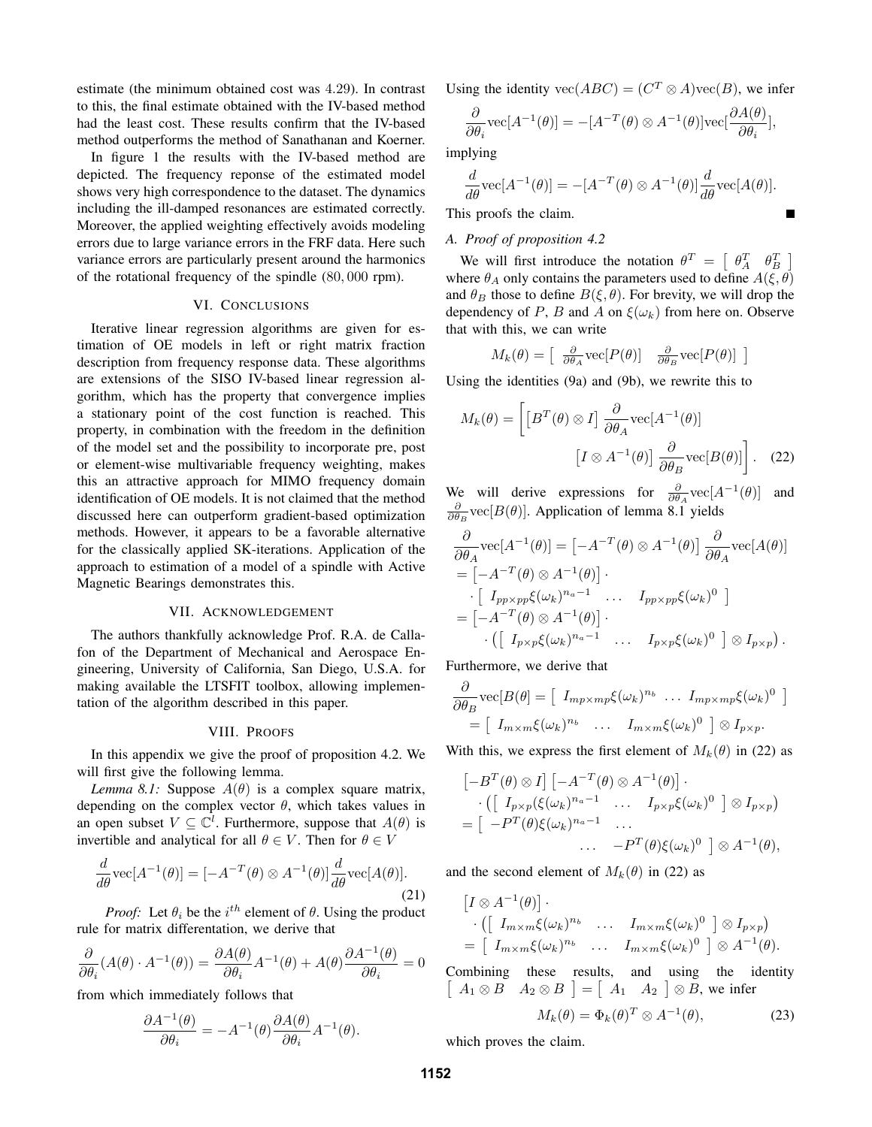estimate (the minimum obtained cost was 4.29). In contrast to this, the final estimate obtained with the IV-based method had the least cost. These results confirm that the IV-based method outperforms the method of Sanathanan and Koerner.

In figure 1 the results with the IV-based method are depicted. The frequency reponse of the estimated model shows very high correspondence to the dataset. The dynamics including the ill-damped resonances are estimated correctly. Moreover, the applied weighting effectively avoids modeling errors due to large variance errors in the FRF data. Here such variance errors are particularly present around the harmonics of the rotational frequency of the spindle (80, 000 rpm).

# VI. CONCLUSIONS

Iterative linear regression algorithms are given for estimation of OE models in left or right matrix fraction description from frequency response data. These algorithms are extensions of the SISO IV-based linear regression algorithm, which has the property that convergence implies a stationary point of the cost function is reached. This property, in combination with the freedom in the definition of the model set and the possibility to incorporate pre, post or element-wise multivariable frequency weighting, makes this an attractive approach for MIMO frequency domain identification of OE models. It is not claimed that the method discussed here can outperform gradient-based optimization methods. However, it appears to be a favorable alternative for the classically applied SK-iterations. Application of the approach to estimation of a model of a spindle with Active Magnetic Bearings demonstrates this.

# VII. ACKNOWLEDGEMENT

The authors thankfully acknowledge Prof. R.A. de Callafon of the Department of Mechanical and Aerospace Engineering, University of California, San Diego, U.S.A. for making available the LTSFIT toolbox, allowing implementation of the algorithm described in this paper.

#### VIII. PROOFS

In this appendix we give the proof of proposition 4.2. We will first give the following lemma.

*Lemma 8.1:* Suppose  $A(\theta)$  is a complex square matrix, depending on the complex vector  $\theta$ , which takes values in an open subset  $V \subseteq \mathbb{C}^l$ . Furthermore, suppose that  $A(\theta)$  is invertible and analytical for all  $\theta \in V$ . Then for  $\theta \in V$ 

$$
\frac{d}{d\theta}\text{vec}[A^{-1}(\theta)] = [-A^{-T}(\theta) \otimes A^{-1}(\theta)]\frac{d}{d\theta}\text{vec}[A(\theta)].\tag{21}
$$

*Proof:* Let  $\theta_i$  be the  $i^{th}$  element of  $\theta$ . Using the product rule for matrix differentation, we derive that

$$
\frac{\partial}{\partial \theta_i} (A(\theta) \cdot A^{-1}(\theta)) = \frac{\partial A(\theta)}{\partial \theta_i} A^{-1}(\theta) + A(\theta) \frac{\partial A^{-1}(\theta)}{\partial \theta_i} = 0
$$

from which immediately follows that

$$
\frac{\partial A^{-1}(\theta)}{\partial \theta_i} = -A^{-1}(\theta) \frac{\partial A(\theta)}{\partial \theta_i} A^{-1}(\theta).
$$

Using the identity  $\text{vec}(ABC) = (C^T \otimes A)\text{vec}(B)$ , we infer

$$
\frac{\partial}{\partial \theta_i} \text{vec}[A^{-1}(\theta)] = -[A^{-T}(\theta) \otimes A^{-1}(\theta)] \text{vec} \left[\frac{\partial A(\theta)}{\partial \theta_i}\right],
$$

implying

$$
\frac{d}{d\theta}\text{vec}[A^{-1}(\theta)] = -[A^{-T}(\theta) \otimes A^{-1}(\theta)]\frac{d}{d\theta}\text{vec}[A(\theta)].
$$

This proofs the claim.

## *A. Proof of proposition 4.2*

We will first introduce the notation  $\theta^T = \begin{bmatrix} \theta_A^T & \theta_B^T \end{bmatrix}$ where  $\theta_A$  only contains the parameters used to define  $A(\xi, \theta)$ and  $\theta_B$  those to define  $B(\xi, \theta)$ . For brevity, we will drop the dependency of P, B and A on  $\xi(\omega_k)$  from here on. Observe that with this, we can write

$$
M_k(\theta) = \left[ \frac{\partial}{\partial \theta_A} \text{vec}[P(\theta)] \quad \frac{\partial}{\partial \theta_B} \text{vec}[P(\theta)] \right]
$$

Using the identities (9a) and (9b), we rewrite this to

$$
M_k(\theta) = \left[ \left[ B^T(\theta) \otimes I \right] \frac{\partial}{\partial \theta_A} \text{vec}[A^{-1}(\theta)] \right]
$$

$$
\left[ I \otimes A^{-1}(\theta) \right] \frac{\partial}{\partial \theta_B} \text{vec}[B(\theta)] \right]. \quad (22)
$$

We will derive expressions for  $\frac{\partial}{\partial \theta_A} \text{vec}[A^{-1}(\theta)]$  and  $\frac{\partial}{\partial \theta_B}$  vec[ $B(\theta)$ ]. Application of lemma 8.1 yields

$$
\frac{\partial}{\partial \theta_A} \text{vec}[A^{-1}(\theta)] = \left[ -A^{-T}(\theta) \otimes A^{-1}(\theta) \right] \frac{\partial}{\partial \theta_A} \text{vec}[A(\theta)]
$$
  
\n
$$
= \left[ -A^{-T}(\theta) \otimes A^{-1}(\theta) \right] \cdot \left[ I_{pp \times pp} \xi(\omega_k)^{n_a - 1} \cdot \dots \cdot I_{pp \times pp} \xi(\omega_k)^0 \right]
$$
  
\n
$$
= \left[ -A^{-T}(\theta) \otimes A^{-1}(\theta) \right] \cdot \left[ I_{p \times p} \xi(\omega_k)^{n_a - 1} \cdot \dots \cdot I_{p \times p} \xi(\omega_k)^0 \right] \otimes I_{p \times p}.
$$

Furthermore, we derive that

$$
\frac{\partial}{\partial \theta_B} \text{vec}[B(\theta)] = \left[ I_{mp \times mp} \xi(\omega_k)^{n_b} \dots I_{mp \times mp} \xi(\omega_k)^0 \right] \n= \left[ I_{m \times m} \xi(\omega_k)^{n_b} \dots I_{m \times m} \xi(\omega_k)^0 \right] \otimes I_{p \times p}.
$$

With this, we express the first element of  $M_k(\theta)$  in (22) as

$$
\begin{aligned}\n&\left[-B^T(\theta) \otimes I\right] \left[-A^{-T}(\theta) \otimes A^{-1}(\theta)\right] \cdot \\
&\cdot \left(\left[\begin{array}{ccc} I_{p \times p}(\xi(\omega_k)^{n_a - 1} & \dots & I_{p \times p} \xi(\omega_k)^0 \end{array}\right] \otimes I_{p \times p}\right) \\
&= \left[\begin{array}{ccc} -P^T(\theta) \xi(\omega_k)^{n_a - 1} & \dots & \dots & -P^T(\theta) \xi(\omega_k)^0 \end{array}\right] \otimes A^{-1}(\theta),\n\end{aligned}
$$

and the second element of  $M_k(\theta)$  in (22) as

$$
\begin{aligned}\n\left[I \otimes A^{-1}(\theta)\right] \cdot \\
&\cdot \left( \left[\begin{array}{ccc} I_{m \times m} \xi(\omega_k)^{n_b} & \dots & I_{m \times m} \xi(\omega_k)^0 \end{array}\right] \otimes I_{p \times p} \right) \\
&= \left[\begin{array}{ccc} I_{m \times m} \xi(\omega_k)^{n_b} & \dots & I_{m \times m} \xi(\omega_k)^0 \end{array}\right] \otimes A^{-1}(\theta).\n\end{aligned}
$$

Combining these results, and using the identity  $\begin{bmatrix} A_1 \otimes B & A_2 \otimes B \end{bmatrix} = \begin{bmatrix} A_1 & A_2 \end{bmatrix} \otimes B$ , we infer

$$
M_k(\theta) = \Phi_k(\theta)^T \otimes A^{-1}(\theta), \tag{23}
$$

which proves the claim.